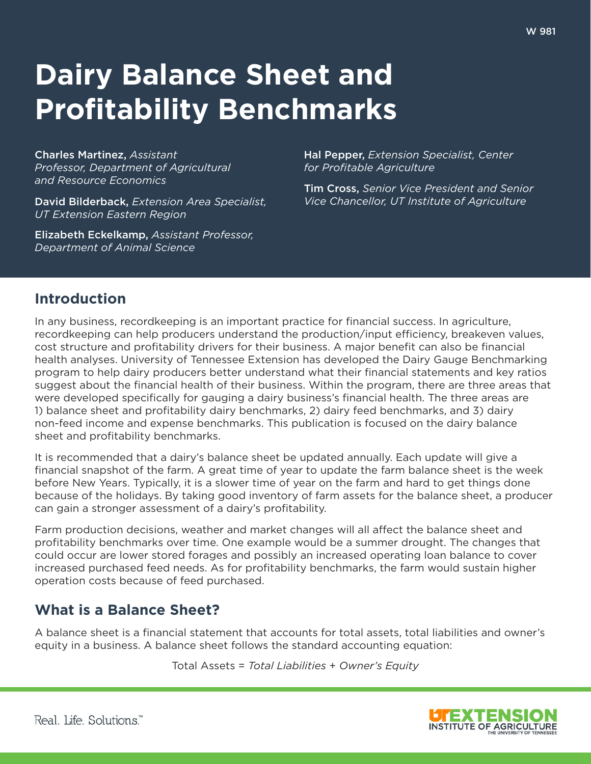# **Dairy Balance Sheet and Profitability Benchmarks**

Charles Martinez, *Assistant Professor, Department of Agricultural and Resource Economics*

David Bilderback, *Extension Area Specialist, UT Extension Eastern Region*

Elizabeth Eckelkamp, *Assistant Professor, Department of Animal Science*

Hal Pepper, *Extension Specialist, Center for Profitable Agriculture*

Tim Cross, *Senior Vice President and Senior Vice Chancellor, UT Institute of Agriculture*

# **Introduction**

In any business, recordkeeping is an important practice for financial success. In agriculture, recordkeeping can help producers understand the production/input efficiency, breakeven values, cost structure and profitability drivers for their business. A major benefit can also be financial health analyses. University of Tennessee Extension has developed the Dairy Gauge Benchmarking program to help dairy producers better understand what their financial statements and key ratios suggest about the financial health of their business. Within the program, there are three areas that were developed specifically for gauging a dairy business's financial health. The three areas are 1) balance sheet and profitability dairy benchmarks, 2) dairy feed benchmarks, and 3) dairy non-feed income and expense benchmarks. This publication is focused on the dairy balance sheet and profitability benchmarks.

It is recommended that a dairy's balance sheet be updated annually. Each update will give a financial snapshot of the farm. A great time of year to update the farm balance sheet is the week before New Years. Typically, it is a slower time of year on the farm and hard to get things done because of the holidays. By taking good inventory of farm assets for the balance sheet, a producer can gain a stronger assessment of a dairy's profitability.

Farm production decisions, weather and market changes will all affect the balance sheet and profitability benchmarks over time. One example would be a summer drought. The changes that could occur are lower stored forages and possibly an increased operating loan balance to cover increased purchased feed needs. As for profitability benchmarks, the farm would sustain higher operation costs because of feed purchased.

# **What is a Balance Sheet?**

A balance sheet is a financial statement that accounts for total assets, total liabilities and owner's equity in a business. A balance sheet follows the standard accounting equation:

Total Assets = *Total Liabilities* + *Owner's Equity*

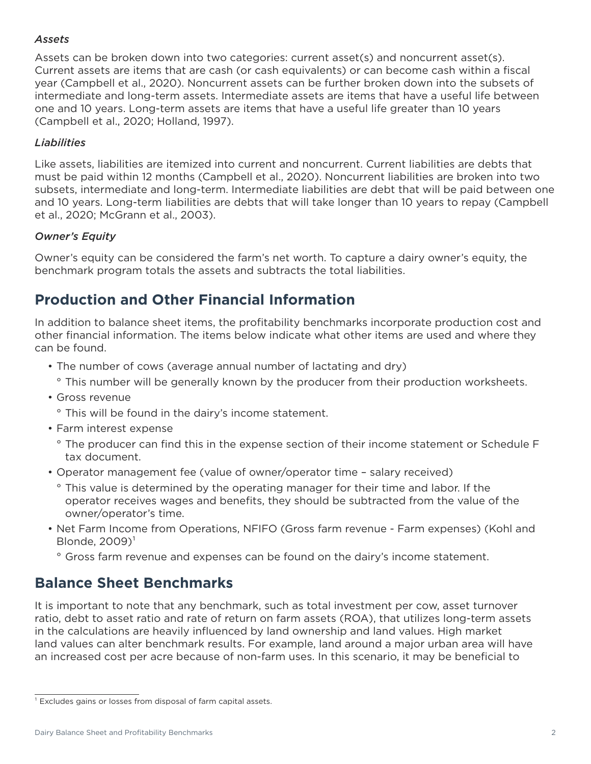#### *Assets*

Assets can be broken down into two categories: current asset(s) and noncurrent asset(s). Current assets are items that are cash (or cash equivalents) or can become cash within a fiscal year (Campbell et al., 2020). Noncurrent assets can be further broken down into the subsets of intermediate and long-term assets. Intermediate assets are items that have a useful life between one and 10 years. Long-term assets are items that have a useful life greater than 10 years (Campbell et al., 2020; Holland, 1997).

#### *Liabilities*

Like assets, liabilities are itemized into current and noncurrent. Current liabilities are debts that must be paid within 12 months (Campbell et al., 2020). Noncurrent liabilities are broken into two subsets, intermediate and long-term. Intermediate liabilities are debt that will be paid between one and 10 years. Long-term liabilities are debts that will take longer than 10 years to repay (Campbell et al., 2020; McGrann et al., 2003).

#### *Owner's Equity*

Owner's equity can be considered the farm's net worth. To capture a dairy owner's equity, the benchmark program totals the assets and subtracts the total liabilities.

# **Production and Other Financial Information**

In addition to balance sheet items, the profitability benchmarks incorporate production cost and other financial information. The items below indicate what other items are used and where they can be found.

- The number of cows (average annual number of lactating and dry)
- ° This number will be generally known by the producer from their production worksheets.
- Gross revenue
	- ° This will be found in the dairy's income statement.
- Farm interest expense
	- ° The producer can find this in the expense section of their income statement or Schedule F tax document.
- Operator management fee (value of owner/operator time salary received)
	- ° This value is determined by the operating manager for their time and labor. If the operator receives wages and benefits, they should be subtracted from the value of the owner/operator's time.
- Net Farm Income from Operations, NFIFO (Gross farm revenue Farm expenses) (Kohl and Blonde,  $2009$ <sup> $\degree$ </sup>
	- ° Gross farm revenue and expenses can be found on the dairy's income statement.

# **Balance Sheet Benchmarks**

It is important to note that any benchmark, such as total investment per cow, asset turnover ratio, debt to asset ratio and rate of return on farm assets (ROA), that utilizes long-term assets in the calculations are heavily influenced by land ownership and land values. High market land values can alter benchmark results. For example, land around a major urban area will have an increased cost per acre because of non-farm uses. In this scenario, it may be beneficial to

<sup>&</sup>lt;sup>1</sup> Excludes gains or losses from disposal of farm capital assets.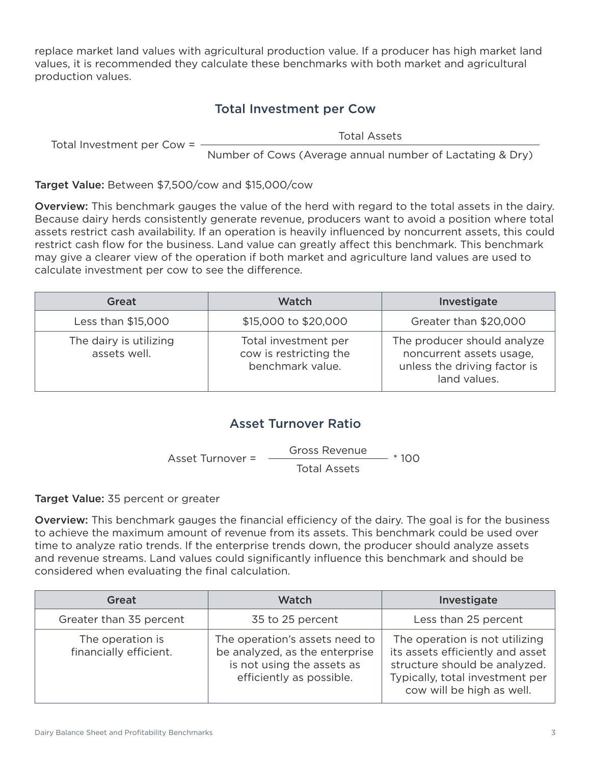replace market land values with agricultural production value. If a producer has high market land values, it is recommended they calculate these benchmarks with both market and agricultural production values.

#### Total Investment per Cow

Total Investment per Cow =

Total Assets

Number of Cows (Average annual number of Lactating & Dry)

Target Value: Between \$7,500/cow and \$15,000/cow

Overview: This benchmark gauges the value of the herd with regard to the total assets in the dairy. Because dairy herds consistently generate revenue, producers want to avoid a position where total assets restrict cash availability. If an operation is heavily influenced by noncurrent assets, this could restrict cash flow for the business. Land value can greatly affect this benchmark. This benchmark may give a clearer view of the operation if both market and agriculture land values are used to calculate investment per cow to see the difference.

| Great                                  | Watch                                                              | Investigate                                                                                             |
|----------------------------------------|--------------------------------------------------------------------|---------------------------------------------------------------------------------------------------------|
| Less than \$15,000                     | \$15,000 to \$20,000                                               | Greater than \$20,000                                                                                   |
| The dairy is utilizing<br>assets well. | Total investment per<br>cow is restricting the<br>benchmark value. | The producer should analyze<br>noncurrent assets usage,<br>unless the driving factor is<br>land values. |

## Asset Turnover Ratio

Asset Turnover = Total Assets Gross Revenue \* 100

Target Value: 35 percent or greater

Overview: This benchmark gauges the financial efficiency of the dairy. The goal is for the business to achieve the maximum amount of revenue from its assets. This benchmark could be used over time to analyze ratio trends. If the enterprise trends down, the producer should analyze assets and revenue streams. Land values could significantly influence this benchmark and should be considered when evaluating the final calculation.

| Great                                      | Watch                                                                                                                      | Investigate                                                                                                                                                         |
|--------------------------------------------|----------------------------------------------------------------------------------------------------------------------------|---------------------------------------------------------------------------------------------------------------------------------------------------------------------|
| Greater than 35 percent                    | 35 to 25 percent                                                                                                           | Less than 25 percent                                                                                                                                                |
| The operation is<br>financially efficient. | The operation's assets need to<br>be analyzed, as the enterprise<br>is not using the assets as<br>efficiently as possible. | The operation is not utilizing<br>its assets efficiently and asset<br>structure should be analyzed.<br>Typically, total investment per<br>cow will be high as well. |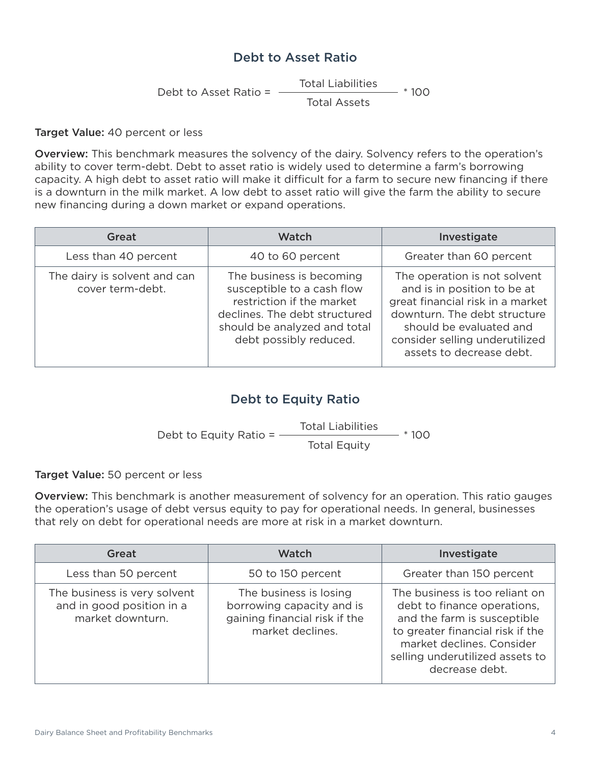#### Debt to Asset Ratio

Debt to Asset Ratio  $=$ Total Assets Total Liabilities  $-$  \* 100

Target Value: 40 percent or less

Overview: This benchmark measures the solvency of the dairy. Solvency refers to the operation's ability to cover term-debt. Debt to asset ratio is widely used to determine a farm's borrowing capacity. A high debt to asset ratio will make it difficult for a farm to secure new financing if there is a downturn in the milk market. A low debt to asset ratio will give the farm the ability to secure new financing during a down market or expand operations.

| Great                                            | Watch                                                                                                                                                                          | Investigate                                                                                                                                                                                                              |
|--------------------------------------------------|--------------------------------------------------------------------------------------------------------------------------------------------------------------------------------|--------------------------------------------------------------------------------------------------------------------------------------------------------------------------------------------------------------------------|
| Less than 40 percent                             | 40 to 60 percent                                                                                                                                                               | Greater than 60 percent                                                                                                                                                                                                  |
| The dairy is solvent and can<br>cover term-debt. | The business is becoming<br>susceptible to a cash flow<br>restriction if the market<br>declines. The debt structured<br>should be analyzed and total<br>debt possibly reduced. | The operation is not solvent<br>and is in position to be at<br>great financial risk in a market<br>downturn. The debt structure<br>should be evaluated and<br>consider selling underutilized<br>assets to decrease debt. |

## Debt to Equity Ratio

Debt to Equity Ratio  $=$ Total Equity Total Liabilities  $- * 100$ 

Target Value: 50 percent or less

Overview: This benchmark is another measurement of solvency for an operation. This ratio gauges the operation's usage of debt versus equity to pay for operational needs. In general, businesses that rely on debt for operational needs are more at risk in a market downturn.

| <b>Great</b>                                                                  | Watch                                                                                                    | Investigate                                                                                                                                                                                                        |
|-------------------------------------------------------------------------------|----------------------------------------------------------------------------------------------------------|--------------------------------------------------------------------------------------------------------------------------------------------------------------------------------------------------------------------|
| Less than 50 percent                                                          | 50 to 150 percent                                                                                        | Greater than 150 percent                                                                                                                                                                                           |
| The business is very solvent<br>and in good position in a<br>market downturn. | The business is losing<br>borrowing capacity and is<br>gaining financial risk if the<br>market declines. | The business is too reliant on<br>debt to finance operations,<br>and the farm is susceptible<br>to greater financial risk if the<br>market declines. Consider<br>selling underutilized assets to<br>decrease debt. |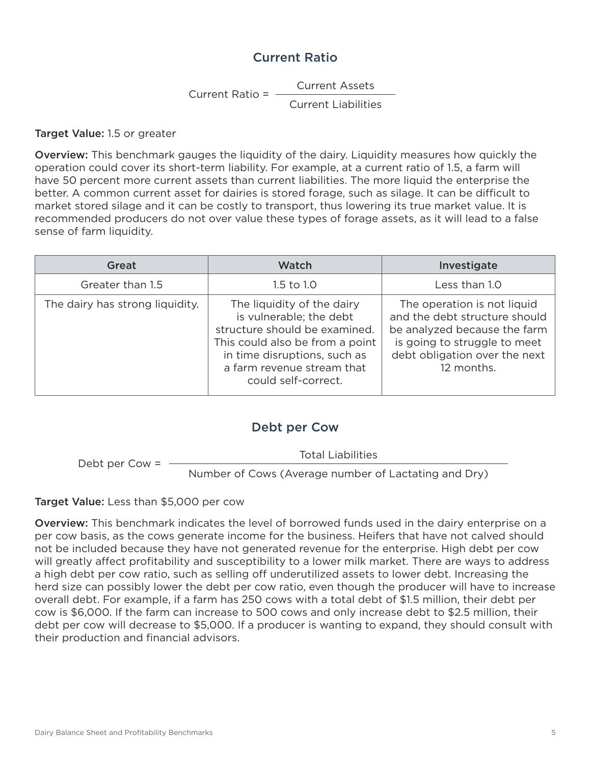#### Current Ratio

Current Assets

Current Ratio  $=$   $-$ Current Liabilities

Target Value: 1.5 or greater

Overview: This benchmark gauges the liquidity of the dairy. Liquidity measures how quickly the operation could cover its short-term liability. For example, at a current ratio of 1.5, a farm will have 50 percent more current assets than current liabilities. The more liquid the enterprise the better. A common current asset for dairies is stored forage, such as silage. It can be difficult to market stored silage and it can be costly to transport, thus lowering its true market value. It is recommended producers do not over value these types of forage assets, as it will lead to a false sense of farm liquidity.

| Great                           | <b>Watch</b>                                                                                                                                                                                                   | Investigate                                                                                                                                                                 |
|---------------------------------|----------------------------------------------------------------------------------------------------------------------------------------------------------------------------------------------------------------|-----------------------------------------------------------------------------------------------------------------------------------------------------------------------------|
| Greater than 1.5                | $1.5$ to $1.0$                                                                                                                                                                                                 | Less than 1.0                                                                                                                                                               |
| The dairy has strong liquidity. | The liquidity of the dairy<br>is vulnerable; the debt<br>structure should be examined.<br>This could also be from a point<br>in time disruptions, such as<br>a farm revenue stream that<br>could self-correct. | The operation is not liquid<br>and the debt structure should<br>be analyzed because the farm<br>is going to struggle to meet<br>debt obligation over the next<br>12 months. |

#### Debt per Cow

Total Liabilities

Debt per Cow =

Number of Cows (Average number of Lactating and Dry)

Target Value: Less than \$5,000 per cow

Overview: This benchmark indicates the level of borrowed funds used in the dairy enterprise on a per cow basis, as the cows generate income for the business. Heifers that have not calved should not be included because they have not generated revenue for the enterprise. High debt per cow will greatly affect profitability and susceptibility to a lower milk market. There are ways to address a high debt per cow ratio, such as selling off underutilized assets to lower debt. Increasing the herd size can possibly lower the debt per cow ratio, even though the producer will have to increase overall debt. For example, if a farm has 250 cows with a total debt of \$1.5 million, their debt per cow is \$6,000. If the farm can increase to 500 cows and only increase debt to \$2.5 million, their debt per cow will decrease to \$5,000. If a producer is wanting to expand, they should consult with their production and financial advisors.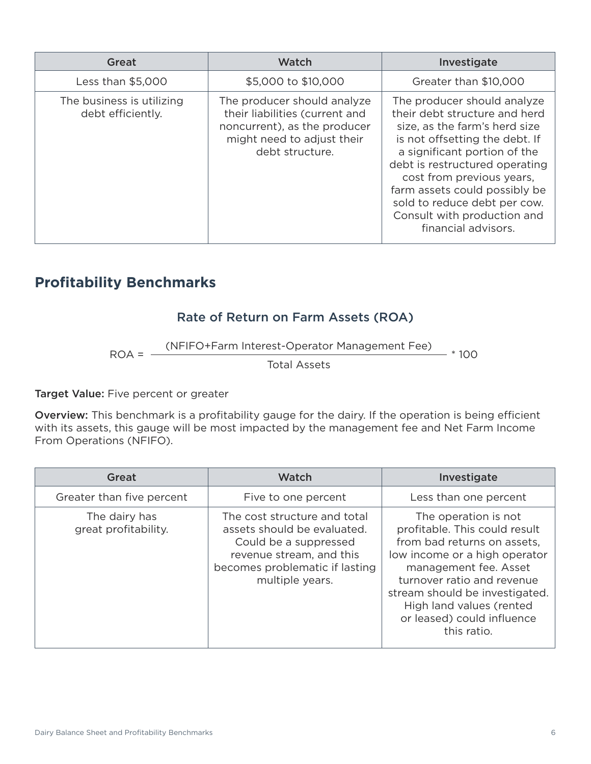| Great                                          | <b>Watch</b>                                                                                                                                   | Investigate                                                                                                                                                                                                                                                                                                                                           |
|------------------------------------------------|------------------------------------------------------------------------------------------------------------------------------------------------|-------------------------------------------------------------------------------------------------------------------------------------------------------------------------------------------------------------------------------------------------------------------------------------------------------------------------------------------------------|
| Less than \$5,000                              | \$5,000 to \$10,000                                                                                                                            | Greater than \$10,000                                                                                                                                                                                                                                                                                                                                 |
| The business is utilizing<br>debt efficiently. | The producer should analyze<br>their liabilities (current and<br>noncurrent), as the producer<br>might need to adjust their<br>debt structure. | The producer should analyze<br>their debt structure and herd<br>size, as the farm's herd size<br>is not offsetting the debt. If<br>a significant portion of the<br>debt is restructured operating<br>cost from previous years,<br>farm assets could possibly be<br>sold to reduce debt per cow.<br>Consult with production and<br>financial advisors. |

# **Profitability Benchmarks**

## Rate of Return on Farm Assets (ROA)

ROA = (NFIFO+Farm Interest-Operator Management Fee) \* 100

Total Assets

Target Value: Five percent or greater

Overview: This benchmark is a profitability gauge for the dairy. If the operation is being efficient with its assets, this gauge will be most impacted by the management fee and Net Farm Income From Operations (NFIFO).

| Great                                 | <b>Watch</b>                                                                                                                                                          | Investigate                                                                                                                                                                                                                                                                             |
|---------------------------------------|-----------------------------------------------------------------------------------------------------------------------------------------------------------------------|-----------------------------------------------------------------------------------------------------------------------------------------------------------------------------------------------------------------------------------------------------------------------------------------|
| Greater than five percent             | Five to one percent                                                                                                                                                   | Less than one percent                                                                                                                                                                                                                                                                   |
| The dairy has<br>great profitability. | The cost structure and total<br>assets should be evaluated.<br>Could be a suppressed<br>revenue stream, and this<br>becomes problematic if lasting<br>multiple years. | The operation is not<br>profitable. This could result<br>from bad returns on assets,<br>low income or a high operator<br>management fee. Asset<br>turnover ratio and revenue<br>stream should be investigated.<br>High land values (rented<br>or leased) could influence<br>this ratio. |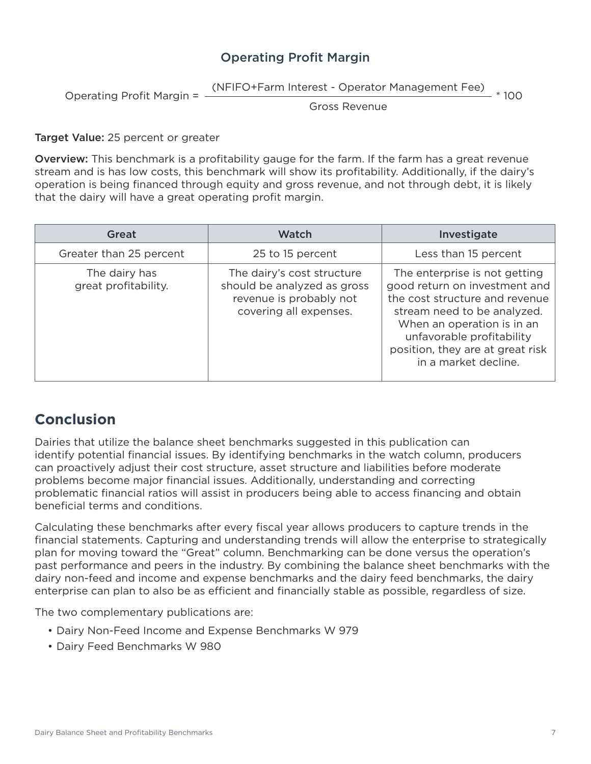## Operating Profit Margin

Operating Profit Margin = (NFIFO+Farm Interest - Operator Management Fee) \* 100

Gross Revenue

#### Target Value: 25 percent or greater

Overview: This benchmark is a profitability gauge for the farm. If the farm has a great revenue stream and is has low costs, this benchmark will show its profitability. Additionally, if the dairy's operation is being financed through equity and gross revenue, and not through debt, it is likely that the dairy will have a great operating profit margin.

| Great                                 | <b>Watch</b>                                                                                                   | Investigate                                                                                                                                                                                                                                            |
|---------------------------------------|----------------------------------------------------------------------------------------------------------------|--------------------------------------------------------------------------------------------------------------------------------------------------------------------------------------------------------------------------------------------------------|
| Greater than 25 percent               | 25 to 15 percent                                                                                               | Less than 15 percent                                                                                                                                                                                                                                   |
| The dairy has<br>great profitability. | The dairy's cost structure<br>should be analyzed as gross<br>revenue is probably not<br>covering all expenses. | The enterprise is not getting<br>good return on investment and<br>the cost structure and revenue<br>stream need to be analyzed.<br>When an operation is in an<br>unfavorable profitability<br>position, they are at great risk<br>in a market decline. |

## **Conclusion**

Dairies that utilize the balance sheet benchmarks suggested in this publication can identify potential financial issues. By identifying benchmarks in the watch column, producers can proactively adjust their cost structure, asset structure and liabilities before moderate problems become major financial issues. Additionally, understanding and correcting problematic financial ratios will assist in producers being able to access financing and obtain beneficial terms and conditions.

Calculating these benchmarks after every fiscal year allows producers to capture trends in the financial statements. Capturing and understanding trends will allow the enterprise to strategically plan for moving toward the "Great" column. Benchmarking can be done versus the operation's past performance and peers in the industry. By combining the balance sheet benchmarks with the dairy non-feed and income and expense benchmarks and the dairy feed benchmarks, the dairy enterprise can plan to also be as efficient and financially stable as possible, regardless of size.

The two complementary publications are:

- Dairy Non-Feed Income and Expense Benchmarks W 979
- Dairy Feed Benchmarks W 980